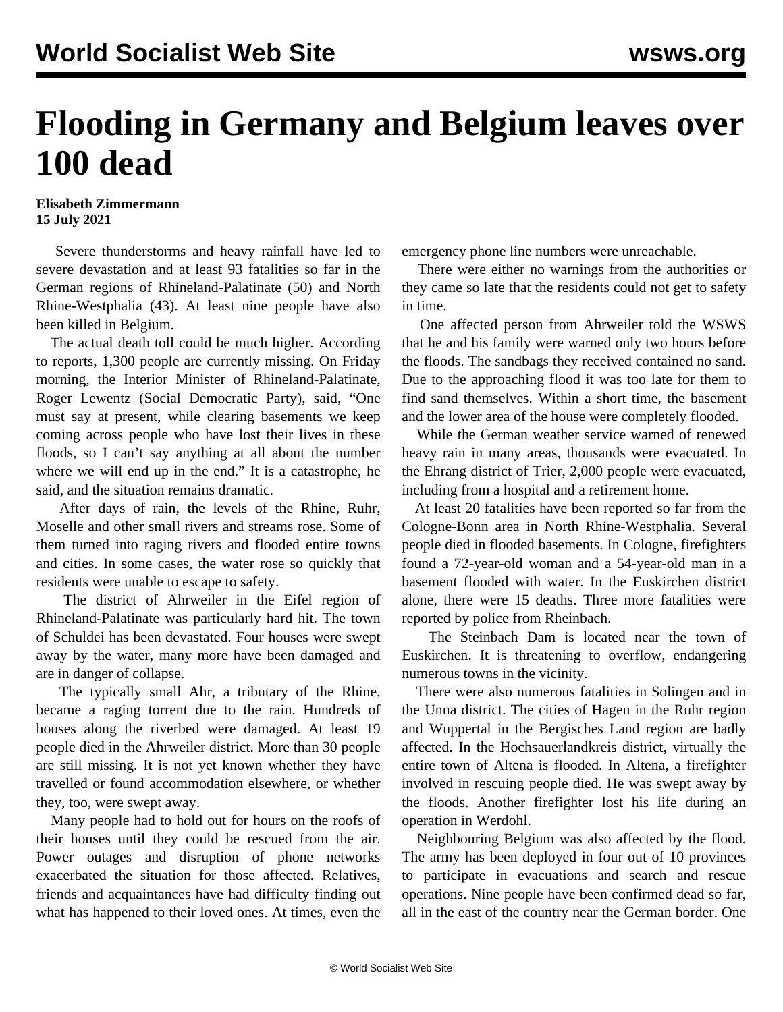## **Flooding in Germany and Belgium leaves over 100 dead**

## **Elisabeth Zimmermann 15 July 2021**

 Severe thunderstorms and heavy rainfall have led to severe devastation and at least 93 fatalities so far in the German regions of Rhineland-Palatinate (50) and North Rhine-Westphalia (43). At least nine people have also been killed in Belgium.

 The actual death toll could be much higher. According to reports, 1,300 people are currently missing. On Friday morning, the Interior Minister of Rhineland-Palatinate, Roger Lewentz (Social Democratic Party), said, "One must say at present, while clearing basements we keep coming across people who have lost their lives in these floods, so I can't say anything at all about the number where we will end up in the end." It is a catastrophe, he said, and the situation remains dramatic.

 After days of rain, the levels of the Rhine, Ruhr, Moselle and other small rivers and streams rose. Some of them turned into raging rivers and flooded entire towns and cities. In some cases, the water rose so quickly that residents were unable to escape to safety.

 The district of Ahrweiler in the Eifel region of Rhineland-Palatinate was particularly hard hit. The town of Schuldei has been devastated. Four houses were swept away by the water, many more have been damaged and are in danger of collapse.

 The typically small Ahr, a tributary of the Rhine, became a raging torrent due to the rain. Hundreds of houses along the riverbed were damaged. At least 19 people died in the Ahrweiler district. More than 30 people are still missing. It is not yet known whether they have travelled or found accommodation elsewhere, or whether they, too, were swept away.

 Many people had to hold out for hours on the roofs of their houses until they could be rescued from the air. Power outages and disruption of phone networks exacerbated the situation for those affected. Relatives, friends and acquaintances have had difficulty finding out what has happened to their loved ones. At times, even the

emergency phone line numbers were unreachable.

 There were either no warnings from the authorities or they came so late that the residents could not get to safety in time.

 One affected person from Ahrweiler told the WSWS that he and his family were warned only two hours before the floods. The sandbags they received contained no sand. Due to the approaching flood it was too late for them to find sand themselves. Within a short time, the basement and the lower area of the house were completely flooded.

 While the German weather service warned of renewed heavy rain in many areas, thousands were evacuated. In the Ehrang district of Trier, 2,000 people were evacuated, including from a hospital and a retirement home.

 At least 20 fatalities have been reported so far from the Cologne-Bonn area in North Rhine-Westphalia. Several people died in flooded basements. In Cologne, firefighters found a 72-year-old woman and a 54-year-old man in a basement flooded with water. In the Euskirchen district alone, there were 15 deaths. Three more fatalities were reported by police from Rheinbach.

 The Steinbach Dam is located near the town of Euskirchen. It is threatening to overflow, endangering numerous towns in the vicinity.

 There were also numerous fatalities in Solingen and in the Unna district. The cities of Hagen in the Ruhr region and Wuppertal in the Bergisches Land region are badly affected. In the Hochsauerlandkreis district, virtually the entire town of Altena is flooded. In Altena, a firefighter involved in rescuing people died. He was swept away by the floods. Another firefighter lost his life during an operation in Werdohl.

 Neighbouring Belgium was also affected by the flood. The army has been deployed in four out of 10 provinces to participate in evacuations and search and rescue operations. Nine people have been confirmed dead so far, all in the east of the country near the German border. One